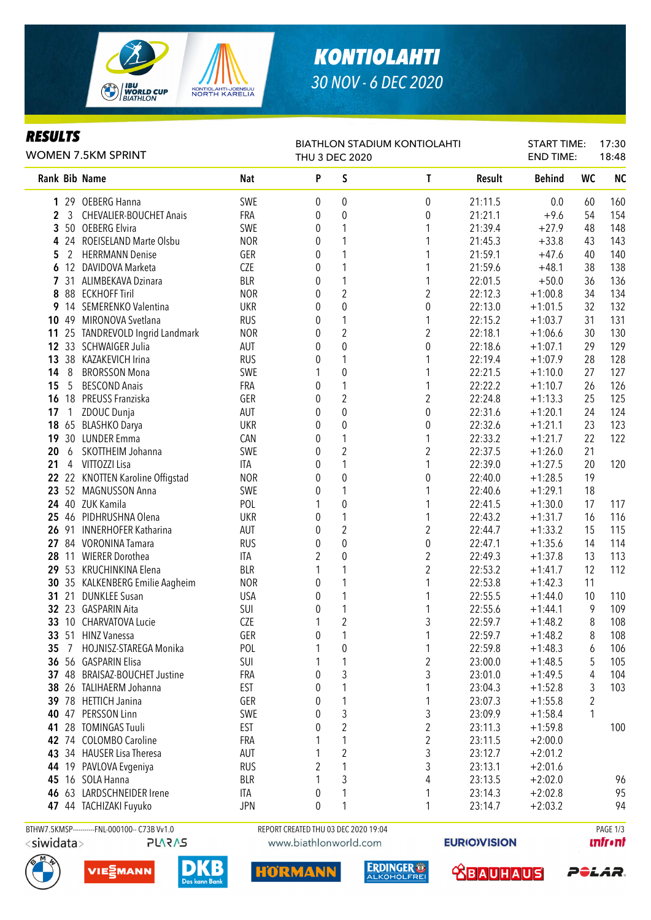

# *KONTIOLAHTI 30 NOV - 6 DEC 2020*

| SUL1<br>e.<br>د 1<br>L.<br>u<br>,,, |
|-------------------------------------|
|-------------------------------------|

#### Rank Bib Name Nat Nat P S T Result Behind WC NC 1 29 OEBERG Hanna SWE 0 0 0 21:11.5 0.0 60 160 2 3 CHEVALIER-BOUCHET Anais 6 FRA 0 0 0 0 21:21.1 +9.6 54 154 3 50 OEBERG Elvira SWE 0 1 1 21:39.4 +27.9 48 148 4 24 ROEISELAND Marte Olsbu NOR 0 1 1 21:45.3 +33.8 43 143 **5** 2 HFRRMANN Denise 6FR 0 1 1 21:59.1 +47.6 40 140 6 12 DAVIDOVA Marketa CZE 0 1 1 21:59.6 +48.1 38 138 7 31 ALIMBEKAVA Dzinara BLR 0 1 1 22:01.5 +50.0 36 136 8 88 ECKHOFF Tiril NOR 0 2 2 22:12.3 +1:00.8 34 134 9 14 SEMERENKO Valentina UKR 0 0 0 22:13.0 +1:01.5 32 132 10 49 MIRONOVA Svetlana RUS 0 1 1 22:15.2 +1:03.7 31 131 11 25 TANDREVOLD Ingrid Landmark MOR 0 2 2 22:18.1 +1:06.6 30 130 12 33 SCHWAIGER Julia AUT 0 0 0 22:18.6 +1:07.1 29 129 13 38 KAZAKEVICH Irina RUS 0 1 1 22:19.4 +1:07.9 28 128 14 8 BRORSSON Mona **SWE** 1 0 1 22:21.5 +1:10.0 27 127 15 5 BESCOND Anais FRA 0 1 1 22:22.2 +1:10.7 26 126 16 18 PREUSS Franziska GER 0 2 2 22:24.8 +1:13.3 25 125 17 1 ZDOUC Dunja AUT 0 0 0 22:31.6 +1:20.1 24 124 18 65 BLASHKO Darya UKR 0 0 0 22:32.6 +1:21.1 23 123 19 30 LUNDER Emma CAN CAN 0 1 1 22:33.2 +1:21.7 22 122 20 6 SKOTTHEIM Johanna SWE 0 2 2 22:37.5 +1:26.0 21 21 4 VITTOZZI Lisa ITA 0 1 1 22:39.0 +1:27.5 20 120 **22** 22 KNOTTEN Karoline Offigstad MOR 0 0 0 22:40.0 +1:28.5 19 23 52 MAGNUSSON Anna SWE 0 1 1 22:40.6 +1:29.1 18 24 40 ZUK Kamila POL 1 0 1 22:41.5 +1:30.0 17 117 25 46 PIDHRUSHNA Olena UKR 0 1 1 22:43.2 +1:31.7 16 116 26 91 INNERHOFER Katharina AUT 0 2 2 22:44.7 +1:33.2 15 115 27 84 VORONINA Tamara RUS 0 0 0 22:47.1 +1:35.6 14 114 28 11 WIERER Dorothea ITA 2 0 2 22:49.3 +1:37.8 13 113 29 53 KRUCHINKINA Elena BLR 1 1 2 22:53.2 +1:41.7 12 112 30 35 KALKENBERG Emilie Aagheim MOR 0 1 1 22:53.8 +1:42.3 11 31 21 DUNKLEE Susan USA 0 1 1 22:55.5 +1:44.0 10 110 **32** 23 GASPARIN Aita **SUI 0 1 1 22:55.6 +1:44.1 9 109 33** 10 CHARVATOVA Lucie **COLLAGE COLLAGE COLLAGE COLLAGE 1** 2 3 22:59.7 +1:48.2 8 108 **33** 51 HINZ Vanessa **GER** 0 1 1 22:59.7 +1:48.2 8 108 35 7 HOJNISZ-STAREGA Monika POL 1 0 1 22:59.8 +1:48.3 6 106 **36** 56 GASPARIN Elisa **SUI** 1 1 2 23:00.0 +1:48.5 5 105 37 48 BRAISAZ-BOUCHET Justine FRA 0 3 3 23:01.0 +1:49.5 4 104 WOMEN 7.5KM SPRINT BIATHLON STADIUM KONTIOLAHTI THU 3 DEC 2020 START TIME: END TIME: 17:30 18:48

 26 TALIHAFRM Johanna **EST** 0 1 1 23:04.3 +1:52.8 3 103 78 HFTICH Janina **GER** 0 1 1 23:07.3 +1:55.8 2 47 PERSSON Linn SWE 0 3 3 23:09.9 +1:58.4 1 28 TOMINGAS Tuuli EST 0 2 2 23:11.3 +1:59.8 100

**ERDINGER®** 

ALKOHOLFREI

**ABAUHAUS** 



m

RMA

42 74 COLOMBO Caroline FRA 1 1 2 23:11.5 +2:00.0 43 34 HAUSER Lisa Theresa AUT 1 2 3 23:12.7 +2:01.2







**infr**•nf

PêlaR.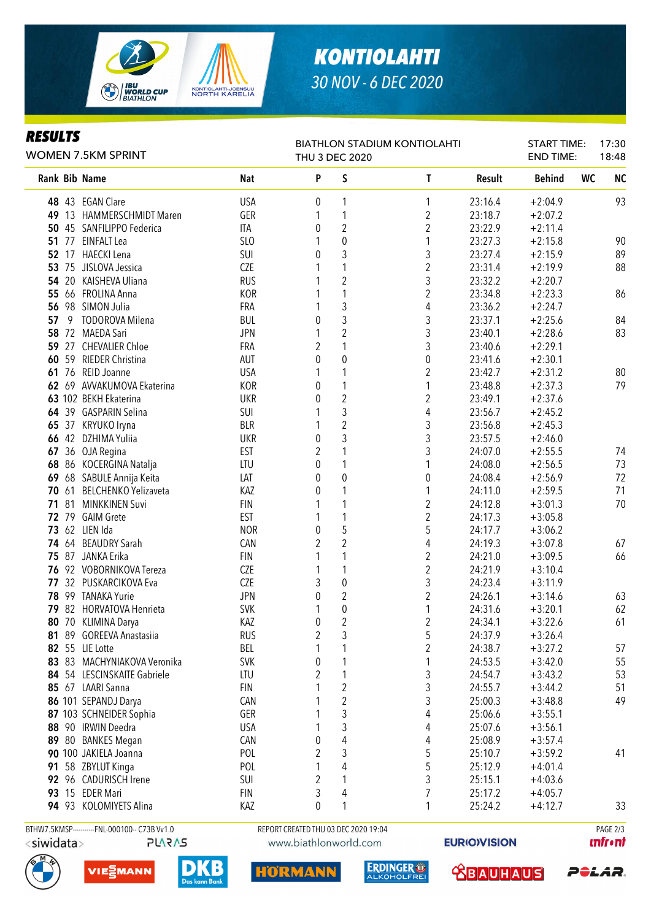

## *KONTIOLAHTI 30 NOV - 6 DEC 2020*

| E<br>SULTS<br>н<br>D<br>ı<br>,,, |
|----------------------------------|
|----------------------------------|

#### Rank Bib Name Nat Nat P S T Result Behind WC NC **48** 43 EGAN Clare **12:04.9 1** USA 0 1 1 1 23:16.4 +2:04.9 93 49 13 HAMMERSCHMIDT Maren 6ER 1 1 1 2 23:18.7 +2:07.2 50 45 SANFILIPPO Federica ITA 0 2 2 23:22.9 +2:11.4 51 77 EINFALT Lea (1) 90 1 23:27.3 +2:15.8 90 **52** 17 HAECKI Lena **SUI 0 3** 3 23:27.4 +2:15.9 89 **53** 75 JISLOVA Jessica **COLLECT COLLECT 1** 1 2 23:31.4 +2:19.9 88 54 20 KAISHEVA Uliana RUS 1 2 3 23:32.2 +2:20.7 55 66 FROLINA Anna 1 1 1 1 2 23:34.8 + 2:23.3 86 56 98 SIMON Julia FRA 1 3 4 23:36.2 +2:24.7 57 9 TODOROVA Milena BUL 0 3 3 23:37.1 +2:25.6 84 58 72 MAEDA Sari JPN 1 2 3 23:40.1 +2:28.6 83 59 27 CHEVALIER Chloe FRA 2 1 3 23:40.6 +2:29.1 **60** 59 RIEDER Christina **AUT** 0 0 0 0 23:41.6 +2:30.1 **61** 76 REID Joanne **1 USA** 1 1 2 23:42.7 + 2:31.2 80 62 69 AVVAKUMOVA Ekaterina KOR 0 1 1 23:48.8 +2:37.3 79 63 102 BEKH Ekaterina UKR 0 2 2 23:49.1 +2:37.6 64 39 GASPARIN Selina 64 SUI 1 3 4 23:56.7 +2:45.2 65 37 KRYUKO Iryna BLR 1 2 3 23:56.8 +2:45.3 66 42 DZHIMA Yuliia UKR 0 3 3 23:57.5 +2:46.0 67 36 OJA Regina EST 2 1 3 24:07.0 +2:55.5 74 68 86 KOCERGINA Natalja LTU 0 1 1 24:08.0 +2:56.5 73 69 68 SABULE Annija Keita LAT 0 0 0 24:08.4 +2:56.9 72 70 61 BELCHENKO Yelizaveta KAZ 0 1 1 24:11.0 +2:59.5 71 71 81 MINKKINEN Suvi FIN 1 1 2 24:12.8 +3:01.3 70 **72** 79 GAIM Grete **EST** 1 1 2 24:17.3 +3:05.8 73 62 LIEN Ida NOR 0 5 5 24:17.7 +3:06.2 **74** 64 BEAUDRY Sarah **CAN 2 2 2 4 24:19.3 +3:07.8** 67 75 87 JANKA Erika FIN 1 1 2 24:21.0 +3:09.5 66 **76** 92 VOBORNIKOVA Tereza <br>
CZE 1 1 1 2 24:21.9 +3:10.4 77 32 PUSKARCIKOVA Eva CZE 3 0 3 24:23.4 +3:11.9 78 99 TANAKA Yurie JPN 0 2 2 24:26.1 +3:14.6 63 79 82 HORVATOVA Henrieta SVK 1 0 1 24:31.6 +3:20.1 62 80 70 KLIMINA Darya 1 1 2 2 24:34.1 +3:22.6 61 81 89 GOREEVA Anastasiia RUS 2 3 5 24:37.9 +3:26.4 82 55 LIE Lotte BEL 1 1 2 24:38.7 +3:27.2 57 83 83 MACHYNIAKOVA Veronika<br>
SVK 0 1 1 24:53.5 +3:42.0 55 84 54 LESCINSKAITE Gabriele LTU 2 1 3 24:54.7 +3:43.2 53 85 67 LAARI Sanna FIN 1 2 3 24:55.7 +3:44.2 51 86 101 SEPANDJ Darya CAN 1 2 3 25:00.3 +3:48.8 49 87 103 SCHNEIDER Sophia GER 1 3 4 25:06.6 +3:55.1 **88** 90 IRWIN Deedra **1** USA 1 3 4 25:07.6 +3:56.1 89 80 BANKES Megan CAN 0 4 4 25:08.9 +3:57.4 90 100 JAKIELA Joanna 1 1 2 3 5 25:10.7 + 3:59.2 41 91 58 ZBYLUT Kinga POL 1 4 5 25:12.9 +4:01.4 **92** 96 CADURISCH Irene **SUI 2 1** 3 25:15.1 +4:03.6 93 15 EDER Mari FIN 3 4 7 25:17.2 +4:05.7 94 93 KOLOMIYETS Alina KAZ 0 1 1 25:24.2 +4:12.7 33 WOMEN 7.5KM SPRINT BIATHLON STADIUM KONTIOLAHTI THU 3 DEC 2020 START TIME: END TIME: 17:30 18:48 BTHW7.5KMSP-----------FNL-000100-- C73B Vv1.0 REPORT CREATED THU 03 DEC 2020 19:04 PAGE 2/3

<siwidata>

PLARAS







**RMA** 

m





**EURIO)VISION** 



**unfront**